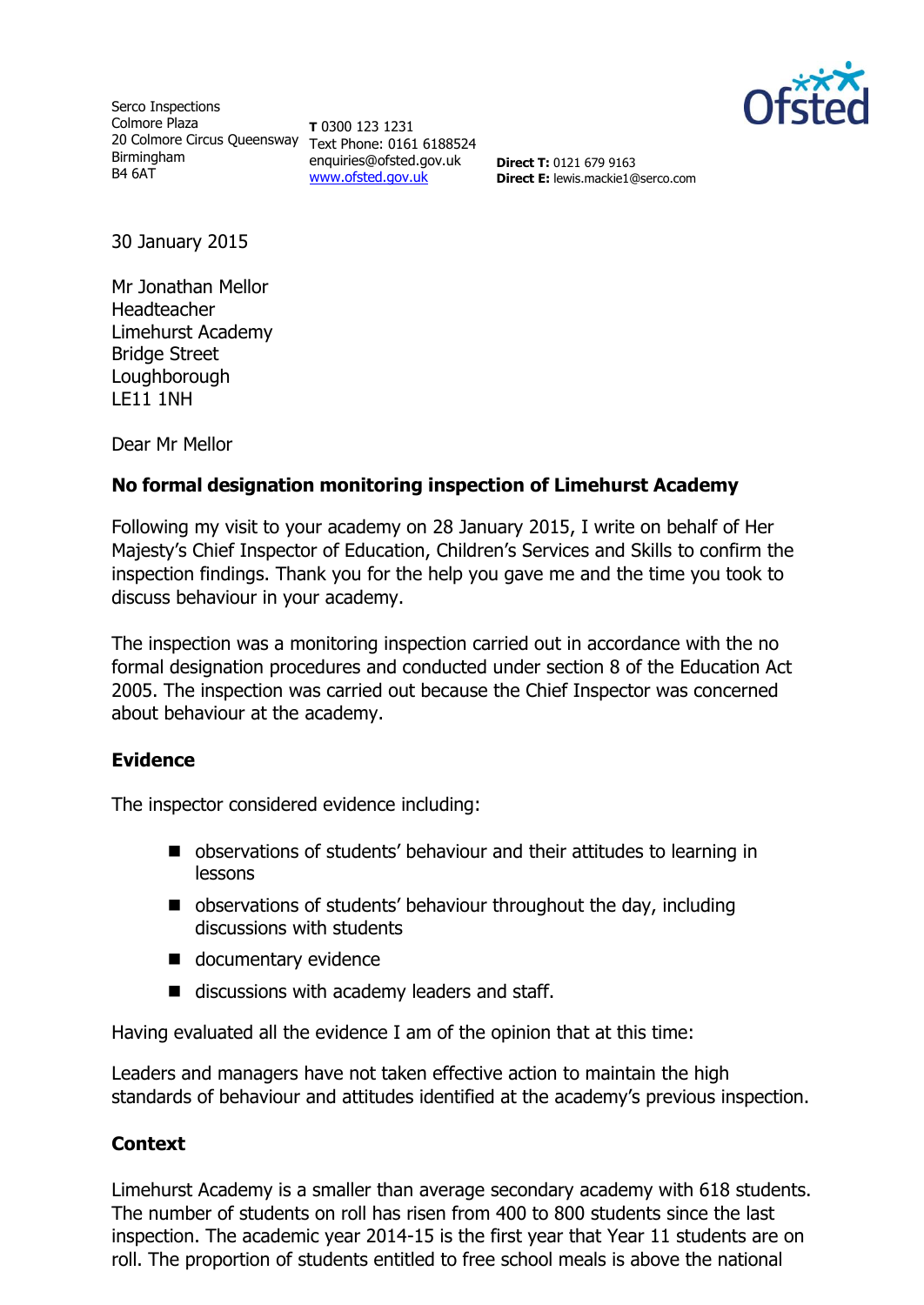

Serco Inspections Colmore Plaza 20 Colmore Circus Queensway Text Phone: 0161 6188524 Birmingham B4 6AT

**T** 0300 123 1231 enquiries@ofsted.gov.uk [www.ofsted.gov.uk](http://www.ofsted.gov.uk/)

**Direct T:** 0121 679 9163 **Direct E:** lewis.mackie1@serco.com

30 January 2015

Mr Jonathan Mellor Headteacher Limehurst Academy Bridge Street Loughborough LE11 1NH

Dear Mr Mellor

# **No formal designation monitoring inspection of Limehurst Academy**

Following my visit to your academy on 28 January 2015, I write on behalf of Her Majesty's Chief Inspector of Education, Children's Services and Skills to confirm the inspection findings. Thank you for the help you gave me and the time you took to discuss behaviour in your academy.

The inspection was a monitoring inspection carried out in accordance with the no formal designation procedures and conducted under section 8 of the Education Act 2005. The inspection was carried out because the Chief Inspector was concerned about behaviour at the academy.

### **Evidence**

The inspector considered evidence including:

- observations of students' behaviour and their attitudes to learning in lessons
- observations of students' behaviour throughout the day, including discussions with students
- documentary evidence
- discussions with academy leaders and staff.

Having evaluated all the evidence I am of the opinion that at this time:

Leaders and managers have not taken effective action to maintain the high standards of behaviour and attitudes identified at the academy's previous inspection.

### **Context**

Limehurst Academy is a smaller than average secondary academy with 618 students. The number of students on roll has risen from 400 to 800 students since the last inspection. The academic year 2014-15 is the first year that Year 11 students are on roll. The proportion of students entitled to free school meals is above the national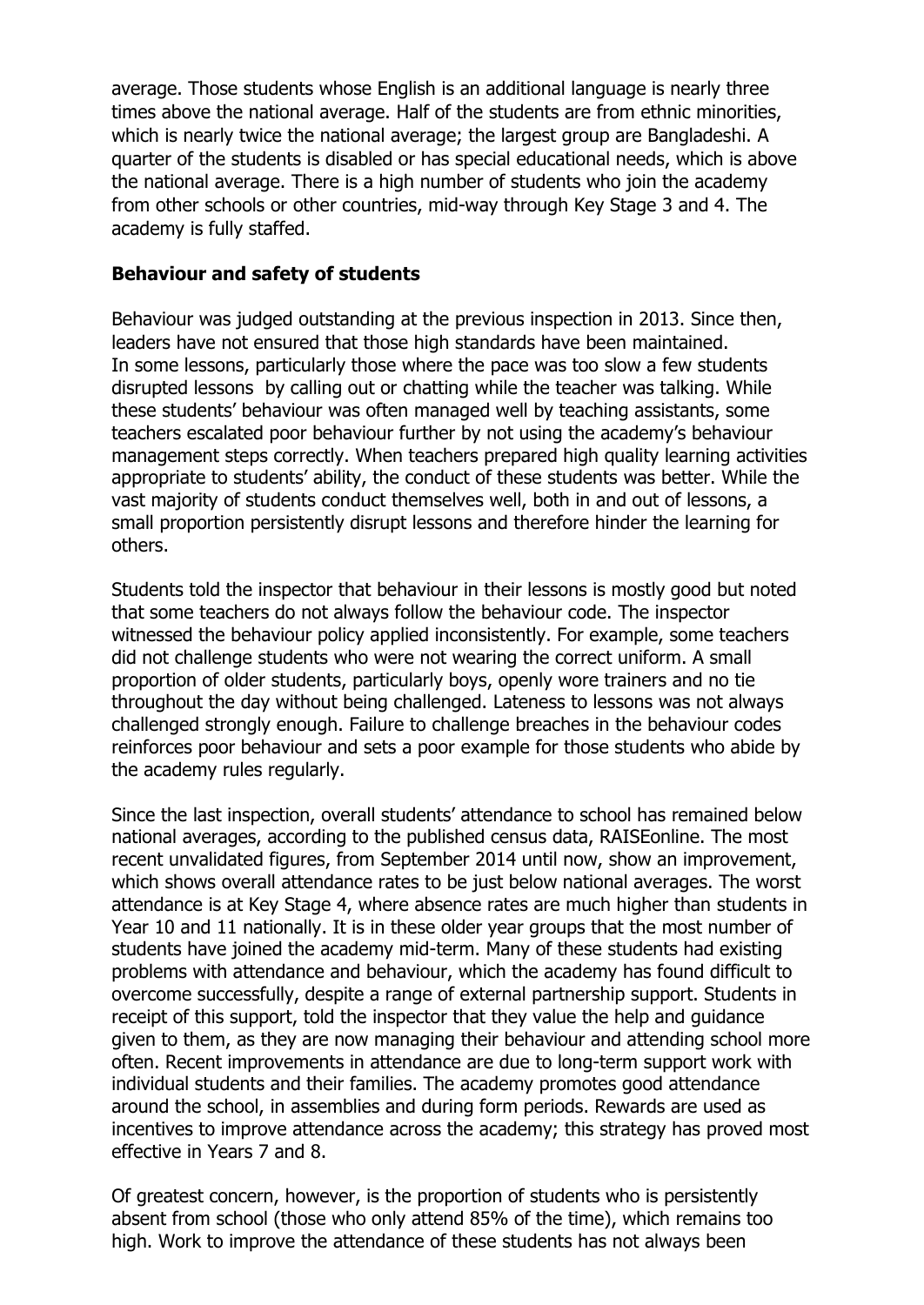average. Those students whose English is an additional language is nearly three times above the national average. Half of the students are from ethnic minorities, which is nearly twice the national average; the largest group are Bangladeshi. A quarter of the students is disabled or has special educational needs, which is above the national average. There is a high number of students who join the academy from other schools or other countries, mid-way through Key Stage 3 and 4. The academy is fully staffed.

## **Behaviour and safety of students**

Behaviour was judged outstanding at the previous inspection in 2013. Since then, leaders have not ensured that those high standards have been maintained. In some lessons, particularly those where the pace was too slow a few students disrupted lessons by calling out or chatting while the teacher was talking. While these students' behaviour was often managed well by teaching assistants, some teachers escalated poor behaviour further by not using the academy's behaviour management steps correctly. When teachers prepared high quality learning activities appropriate to students' ability, the conduct of these students was better. While the vast majority of students conduct themselves well, both in and out of lessons, a small proportion persistently disrupt lessons and therefore hinder the learning for others.

Students told the inspector that behaviour in their lessons is mostly good but noted that some teachers do not always follow the behaviour code. The inspector witnessed the behaviour policy applied inconsistently. For example, some teachers did not challenge students who were not wearing the correct uniform. A small proportion of older students, particularly boys, openly wore trainers and no tie throughout the day without being challenged. Lateness to lessons was not always challenged strongly enough. Failure to challenge breaches in the behaviour codes reinforces poor behaviour and sets a poor example for those students who abide by the academy rules regularly.

Since the last inspection, overall students' attendance to school has remained below national averages, according to the published census data, RAISEonline. The most recent unvalidated figures, from September 2014 until now, show an improvement, which shows overall attendance rates to be just below national averages. The worst attendance is at Key Stage 4, where absence rates are much higher than students in Year 10 and 11 nationally. It is in these older year groups that the most number of students have joined the academy mid-term. Many of these students had existing problems with attendance and behaviour, which the academy has found difficult to overcome successfully, despite a range of external partnership support. Students in receipt of this support, told the inspector that they value the help and guidance given to them, as they are now managing their behaviour and attending school more often. Recent improvements in attendance are due to long-term support work with individual students and their families. The academy promotes good attendance around the school, in assemblies and during form periods. Rewards are used as incentives to improve attendance across the academy; this strategy has proved most effective in Years 7 and 8.

Of greatest concern, however, is the proportion of students who is persistently absent from school (those who only attend 85% of the time), which remains too high. Work to improve the attendance of these students has not always been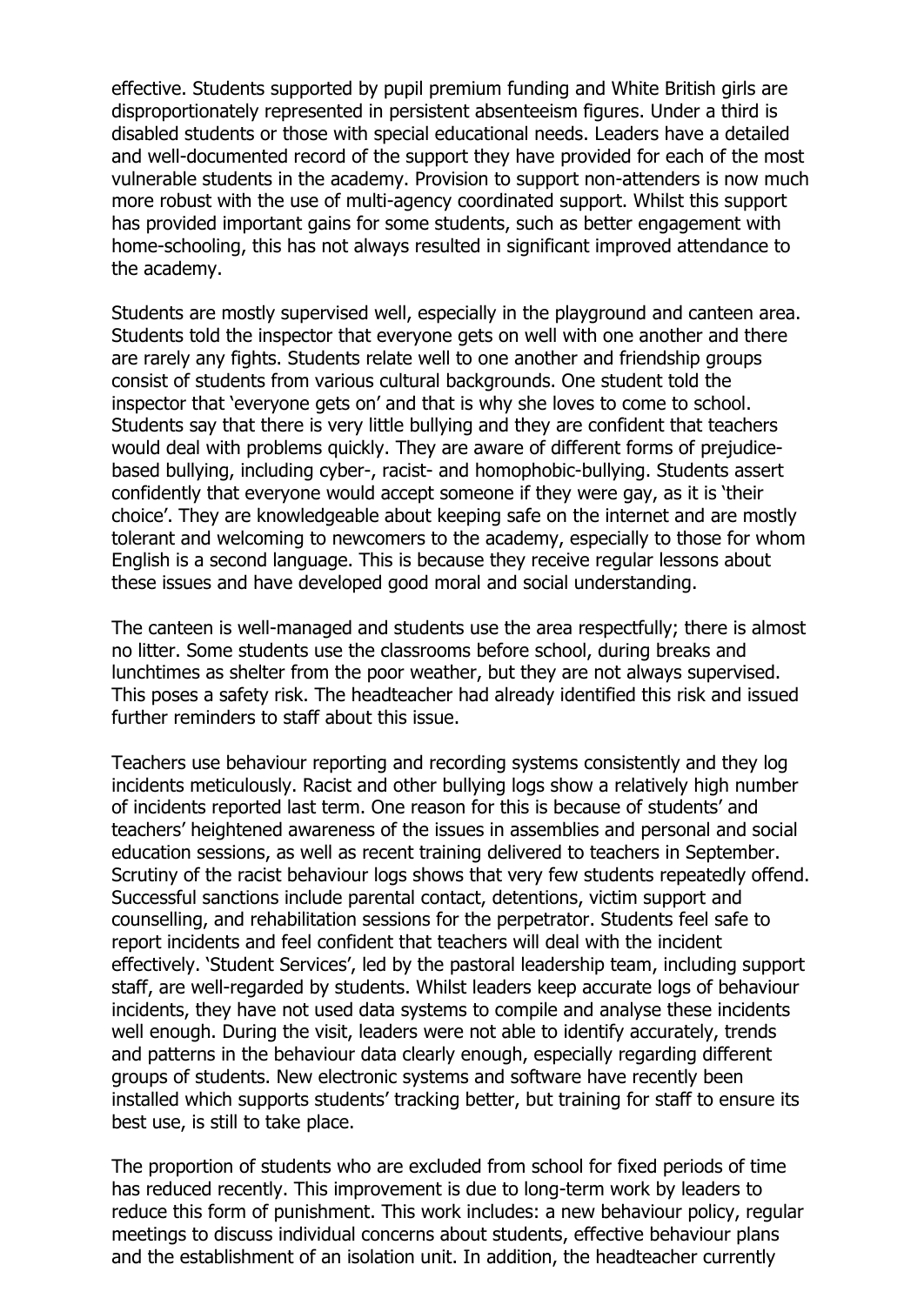effective. Students supported by pupil premium funding and White British girls are disproportionately represented in persistent absenteeism figures. Under a third is disabled students or those with special educational needs. Leaders have a detailed and well-documented record of the support they have provided for each of the most vulnerable students in the academy. Provision to support non-attenders is now much more robust with the use of multi-agency coordinated support. Whilst this support has provided important gains for some students, such as better engagement with home-schooling, this has not always resulted in significant improved attendance to the academy.

Students are mostly supervised well, especially in the playground and canteen area. Students told the inspector that everyone gets on well with one another and there are rarely any fights. Students relate well to one another and friendship groups consist of students from various cultural backgrounds. One student told the inspector that 'everyone gets on' and that is why she loves to come to school. Students say that there is very little bullying and they are confident that teachers would deal with problems quickly. They are aware of different forms of prejudicebased bullying, including cyber-, racist- and homophobic-bullying. Students assert confidently that everyone would accept someone if they were gay, as it is 'their choice'. They are knowledgeable about keeping safe on the internet and are mostly tolerant and welcoming to newcomers to the academy, especially to those for whom English is a second language. This is because they receive regular lessons about these issues and have developed good moral and social understanding.

The canteen is well-managed and students use the area respectfully; there is almost no litter. Some students use the classrooms before school, during breaks and lunchtimes as shelter from the poor weather, but they are not always supervised. This poses a safety risk. The headteacher had already identified this risk and issued further reminders to staff about this issue.

Teachers use behaviour reporting and recording systems consistently and they log incidents meticulously. Racist and other bullying logs show a relatively high number of incidents reported last term. One reason for this is because of students' and teachers' heightened awareness of the issues in assemblies and personal and social education sessions, as well as recent training delivered to teachers in September. Scrutiny of the racist behaviour logs shows that very few students repeatedly offend. Successful sanctions include parental contact, detentions, victim support and counselling, and rehabilitation sessions for the perpetrator. Students feel safe to report incidents and feel confident that teachers will deal with the incident effectively. 'Student Services', led by the pastoral leadership team, including support staff, are well-regarded by students. Whilst leaders keep accurate logs of behaviour incidents, they have not used data systems to compile and analyse these incidents well enough. During the visit, leaders were not able to identify accurately, trends and patterns in the behaviour data clearly enough, especially regarding different groups of students. New electronic systems and software have recently been installed which supports students' tracking better, but training for staff to ensure its best use, is still to take place.

The proportion of students who are excluded from school for fixed periods of time has reduced recently. This improvement is due to long-term work by leaders to reduce this form of punishment. This work includes: a new behaviour policy, regular meetings to discuss individual concerns about students, effective behaviour plans and the establishment of an isolation unit. In addition, the headteacher currently